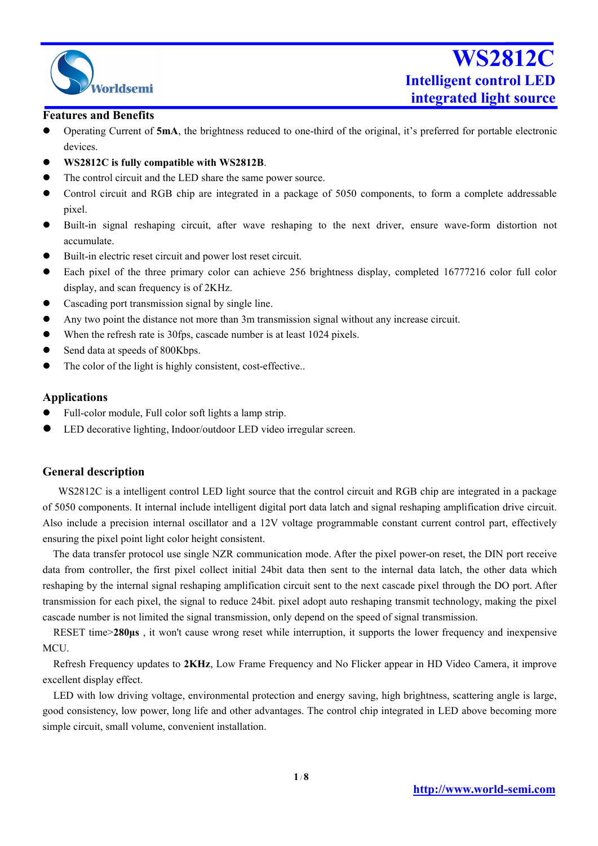

#### **Features and Benefits**

- Operating Current of **5mA**, the brightness reduced to one-third of the original, it's preferred for portable electronic devices.
- **WS2812C is fully compatible with WS2812B**.
- The control circuit and the LED share the same power source.
- Control circuit and RGB chip are integrated in a package of 5050 components, to form a complete addressable pixel.
- Built-in signal reshaping circuit, after wave reshaping to the next driver, ensure wave-form distortion not accumulate.
- Built-in electric reset circuit and power lost reset circuit.
- Each pixel of the three primary color can achieve 256 brightness display, completed 16777216 color full color display, and scan frequency is of 2KHz.
- Cascading port transmission signal by single line.
- Any two point the distance not more than 3m transmissionsignal without any increase circuit.
- When the refresh rate is 30fps, cascade number is at least 1024 pixels.
- $\bullet$  Send data at speeds of 800Kbps.
- The color of the light is highly consistent, cost-effective..

#### **Applications**

- Full-color module, Full color soft lights a lamp strip.
- LED decorative lighting, Indoor/outdoor LED video irregular screen.

#### **General description**

WS2812C is a intelligent control LED light source that the control circuit and RGB chip are integrated in a package of 5050 components. It internal include intelligent digital port data latch and signal reshaping amplification drive circuit. Also include a precision internal oscillator and a 12V voltage programmable constant current control part, effectively ensuring the pixel point light color height consistent.

The data transfer protocol use single NZR communication mode. After the pixel power-on reset, the DIN port receive data from controller, the first pixel collect initial 24bit data then sent to the internal data latch, the other data which reshaping by the internal signal reshaping amplification circuit sent to the next cascade pixel through the DO port. After transmission for each pixel, the signal to reduce 24bit. pixel adopt auto reshaping transmit technology, making the pixel cascade number is not limited the signal transmission, only depend on the speed of signal transmission.

RESET time>**280μs** , it won't cause wrong reset while interruption, it supports the lower frequency and inexpensive MCU.

Refresh Frequency updates to 2KHz, Low Frame Frequency and No Flicker appear in HD Video Camera, it improve excellent display effect.

LED with low driving voltage, environmental protection and energy saving, high brightness, scattering angle is large, good consistency, low power, long life and other advantages. The control chip integrated in LED above becoming more simple circuit, small volume, convenient installation.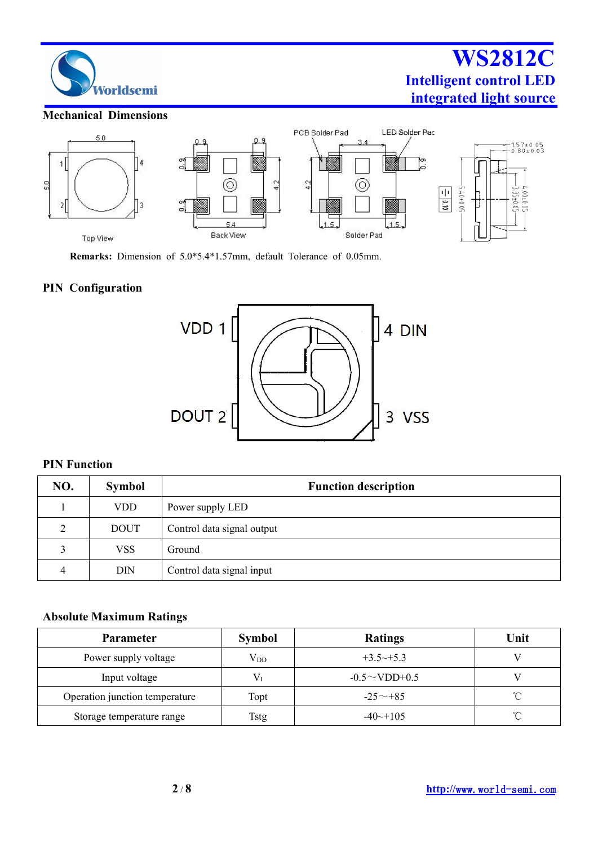

### **Mechanical Dimensions**



**Remarks:** Dimension of 5.0\*5.4\*1.57mm, default Tolerance of 0.05mm.

### **PIN Configuration**



### **PIN Function**

| NO.         | <b>Symbol</b> | <b>Function description</b> |
|-------------|---------------|-----------------------------|
|             | <b>VDD</b>    | Power supply LED            |
| ∍           | <b>DOUT</b>   | Control data signal output  |
| $\mathbf 3$ | <b>VSS</b>    | Ground                      |
|             | <b>DIN</b>    | Control data signal input   |

### **Absolute Maximum Ratings**

| <b>Parameter</b>               | <b>Symbol</b> | <b>Ratings</b>          | Unit            |
|--------------------------------|---------------|-------------------------|-----------------|
| Power supply voltage           | $V_{DD}$      | $+3.5 \rightarrow +5.3$ |                 |
| Input voltage                  |               | $-0.5 \sim$ VDD+0.5     |                 |
| Operation junction temperature | Topt          | $-25 \sim +85$          | $^{\circ}$<br>◡ |
| Storage temperature range      | Tstg          | $-40 \rightarrow 105$   | $^{\circ}$<br>◡ |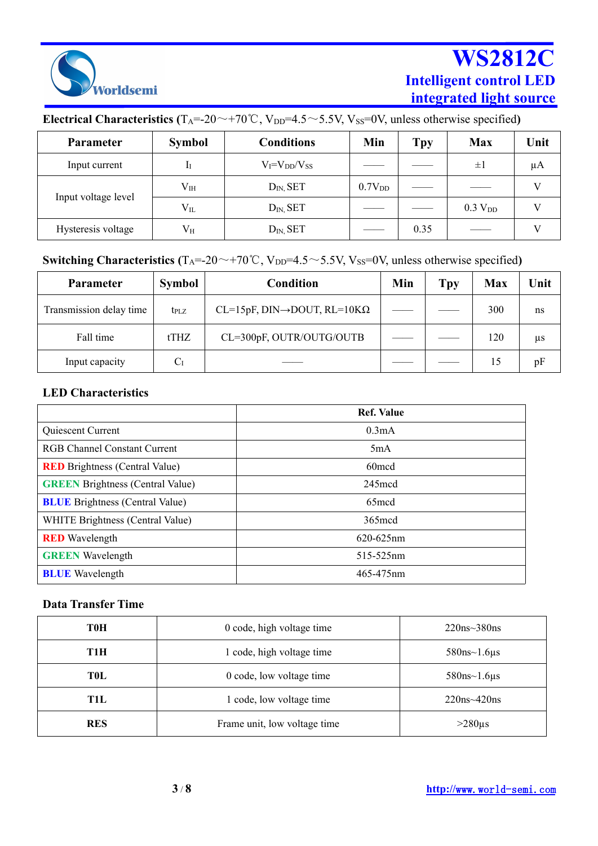

| Electrical Characteristics (T <sub>A</sub> =-20 $\sim$ +70°C, V <sub>DD</sub> =4.5 $\sim$ 5.5V, V <sub>SS</sub> =0V, unless otherwise specified) |  |  |
|--------------------------------------------------------------------------------------------------------------------------------------------------|--|--|
|--------------------------------------------------------------------------------------------------------------------------------------------------|--|--|

| <b>Parameter</b>    | <b>Symbol</b> | <b>Conditions</b>     | Min                                   | <b>Tpy</b> | <b>Max</b>          | Unit         |
|---------------------|---------------|-----------------------|---------------------------------------|------------|---------------------|--------------|
| Input current       | II.           | $V_I = V_{DD}/V_{SS}$ |                                       |            | $\pm 1$             | μA           |
| Input voltage level | $V_{IH}$      | $D_{IN}$ , SET        | 0.7V <sub>DD</sub>                    | ____       |                     | $\mathbf{V}$ |
|                     | $V_{IL}$      | $D_{IN}$ , SET        |                                       |            | 0.3 V <sub>DD</sub> | $\mathbf{V}$ |
| Hysteresis voltage  | $V_H$         | $D_{IN}$ , SET        | and the control of the control of the | 0.35       | _____               | $\mathbf{V}$ |

### **Switching Characteristics**  $(T_A = -20 \sim +70^\circ C, V_{DD} = 4.5 \sim 5.5 V, V_{SS} = 0 V$ , unless otherwise specified)

| <b>Parameter</b>        | <b>Symbol</b> | Condition                                    | Min | <b>Tpy</b> | <b>Max</b> | Unit    |
|-------------------------|---------------|----------------------------------------------|-----|------------|------------|---------|
| Transmission delay time | $t_{\rm PLZ}$ | $CL=15pF, DIN\rightarrow DOUT, RL=10K\Omega$ |     |            | 300        | ns      |
| Fall time               | tTHZ          | CL=300pF, OUTR/OUTG/OUTB                     |     |            | 120        | $\mu$ s |
| Input capacity          | U             |                                              |     |            |            | pF      |

### **LED Characteristics**

|                                         | <b>Ref. Value</b> |
|-----------------------------------------|-------------------|
| Quiescent Current                       | 0.3mA             |
| <b>RGB Channel Constant Current</b>     | 5mA               |
| <b>RED</b> Brightness (Central Value)   | 60 <sub>mcd</sub> |
| <b>GREEN</b> Brightness (Central Value) | $245 \text{med}$  |
| <b>BLUE</b> Brightness (Central Value)  | 65 <sub>mcd</sub> |
| WHITE Brightness (Central Value)        | $365 \text{mod}$  |
| <b>RED</b> Wavelength                   | $620 - 625$ nm    |
| <b>GREEN</b> Wavelength                 | 515-525nm         |
| <b>BLUE</b> Wavelength                  | 465-475nm         |

## **Data Transfer Time**

| <b>T0H</b> | 0 code, high voltage time    | $220ns \sim 380ns$   |
|------------|------------------------------|----------------------|
| T1H        | 1 code, high voltage time    | $580$ ns~1.6 $\mu$ s |
| <b>TOL</b> | 0 code, low voltage time     | $580$ ns~1.6 $\mu$ s |
| T1L        | 1 code, low voltage time     | $220$ ns~420ns       |
| <b>RES</b> | Frame unit, low voltage time | $>280\mu s$          |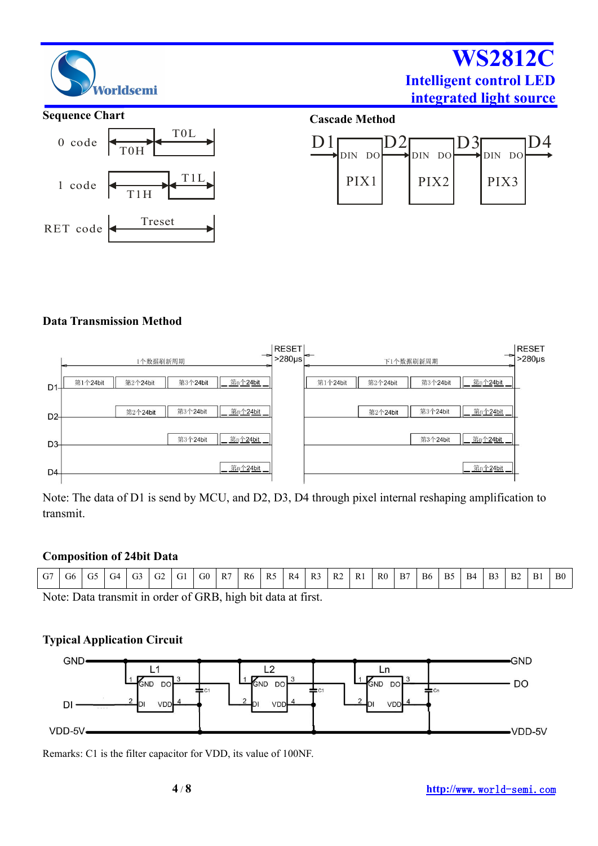

### **Sequence Chart**





### **Data Transmission Method**



Note: The data of D1 is send by MCU, and D2, D3, D4 through pixel internal reshaping amplification to transmit.

### **Composition of 24bit Data**

|--|

Note: Data transmit in order of GRB, high bit data at first.

### **Typical Application Circuit**



Remarks: C1 is the filter capacitor for VDD, its value of 100NF.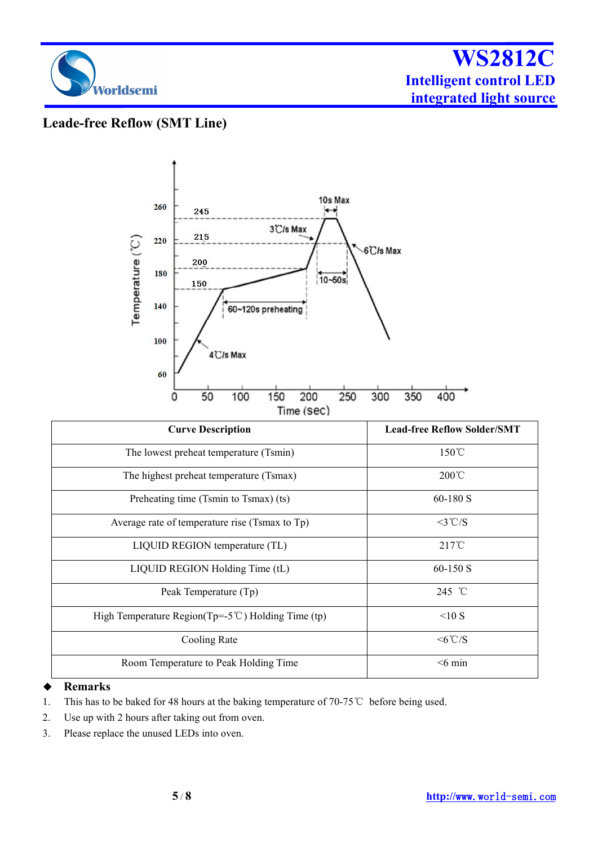

## **Leade-free Reflow (SMT Line)**



| <b>Curve Description</b>                                      | <b>Lead-free Reflow Solder/SMT</b> |
|---------------------------------------------------------------|------------------------------------|
| The lowest preheat temperature (Tsmin)                        | $150^{\circ}$ C                    |
| The highest preheat temperature (Tsmax)                       | $200^{\circ}$ C                    |
| Preheating time (Tsmin to Tsmax) (ts)                         | $60-180S$                          |
| Average rate of temperature rise (Tsmax to Tp)                | $<3^{\circ}$ C/S                   |
| LIQUID REGION temperature (TL)                                | $217^{\circ}$ C                    |
| LIQUID REGION Holding Time (tL)                               | $60-150$ S                         |
| Peak Temperature (Tp)                                         | 245 °C                             |
| High Temperature Region(Tp=- $5^{\circ}$ C) Holding Time (tp) | <10S                               |
| Cooling Rate                                                  | $<6^{\circ}$ C/S                   |
| Room Temperature to Peak Holding Time                         | $<$ 6 min                          |
|                                                               |                                    |

### **Remarks**

- 1. This has to be baked for 48 hours at the baking temperature of 70-75℃ before being used.
- 2. Use up with 2 hours after taking out from oven.
- 3. Please replace the unused LEDs into oven.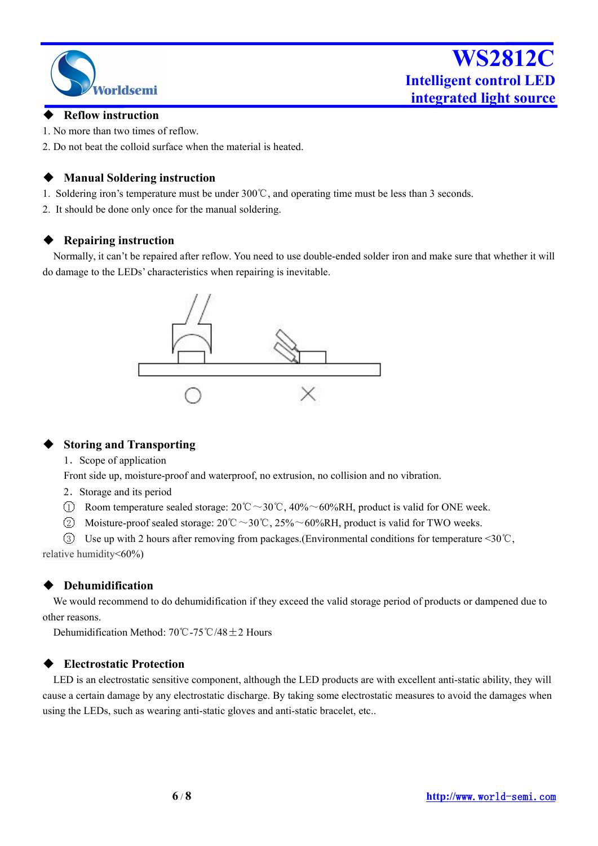

#### **Reflow instruction**

- 1. No more than two times of reflow.
- 2. Do not beat the colloid surface when the material is heated.

### **Manual Soldering instruction**

- 1. Soldering iron's temperature must be under 300℃, and operating time mustbe less than 3 seconds.
- 2. It should be done only once for the manual soldering.

### **Repairing instruction**

Normally, it can't be repaired after reflow. You need to use double-ended solder iron and make sure that whether it will do damage to the LEDs' characteristics when repairing is inevitable.



### **Storing and Transporting**

1.Scope of application

Front side up, moisture-proof and waterproof, no extrusion, no collision and no vibration.

- 2.Storage and its period
- 1 Room temperature sealed storage:  $20^{\circ}\text{C} \sim 30^{\circ}\text{C}$ ,  $40\% \sim 60\% \text{RH}$ , product is valid for ONE week.
- 2 Moisture-proof sealed storage:  $20^{\circ}\text{C} \sim 30^{\circ}\text{C}$ ,  $25\% \sim 60\% \text{RH}$ , product is valid for TWO weeks.

3 Use up with 2 hours after removing from packages.(Environmental conditions for temperature <30℃, relative humidity<60%)

### **Dehumidification**

We would recommend to do dehumidification if they exceed the valid storage period of products or dampened due to other reasons.

Dehumidification Method: 70℃-75℃/48±2 Hours

### **Electrostatic Protection**

LED is an electrostatic sensitive component, although the LED products are with excellent anti-static ability, they will cause a certain damage by any electrostatic discharge. By taking some electrostatic measures to avoid the damages when using the LEDs, such as wearing anti-static gloves and anti-static bracelet, etc...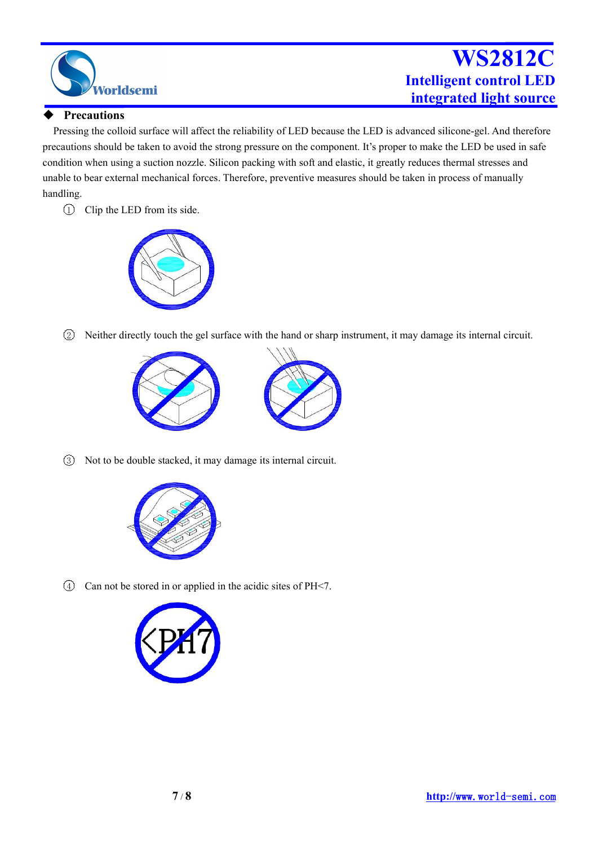

### **Precautions**

Pressing the colloid surface will affect the reliability of LED because the LED is advanced silicone-gel. And therefore precautions should be taken to avoid the strong pressure on the component. It's proper to make the LED be used in safe condition when using a suction nozzle. Silicon packing with soft and elastic, it greatly reduces thermal stresses and unable to bear external mechanical forces. Therefore, preventive measures should be taken in process of manually handling.

1 Clip the LED from its side.



2 Neither directly touch the gel surface with the hand or sharp instrument, it may damage its internal circuit.





3 Not to be double stacked, it may damage its internal circuit.



4 Can not be stored in or applied in the acidic sites of PH<7.